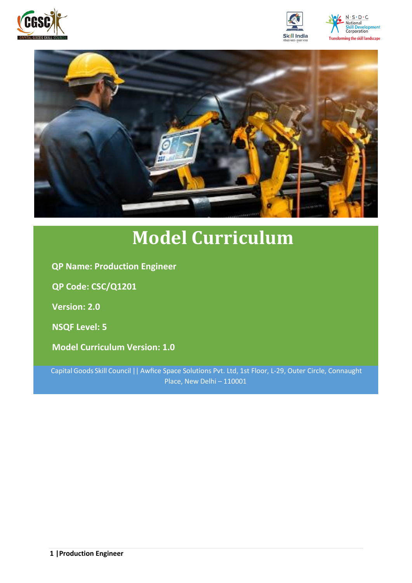







# **Model Curriculum**

**QP Name: Production Engineer**

**QP Code: CSC/Q1201**

**Version: 2.0**

**NSQF Level: 5**

**Model Curriculum Version: 1.0**

Capital Goods Skill Council || Awfice Space Solutions Pvt. Ltd, 1st Floor, L-29, Outer Circle, Connaught Place, New Delhi – 110001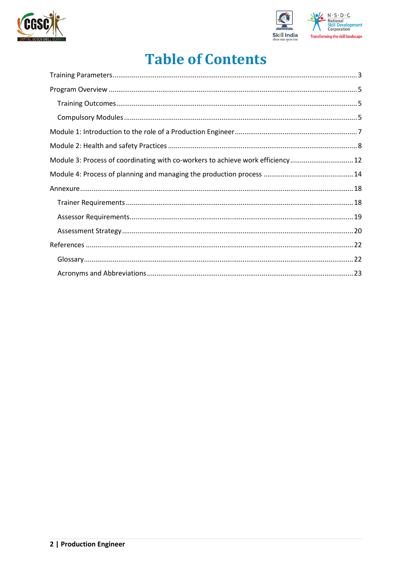



## **Table of Contents**

| Module 3: Process of coordinating with co-workers to achieve work efficiency 12 |  |
|---------------------------------------------------------------------------------|--|
|                                                                                 |  |
|                                                                                 |  |
|                                                                                 |  |
|                                                                                 |  |
|                                                                                 |  |
|                                                                                 |  |
|                                                                                 |  |
|                                                                                 |  |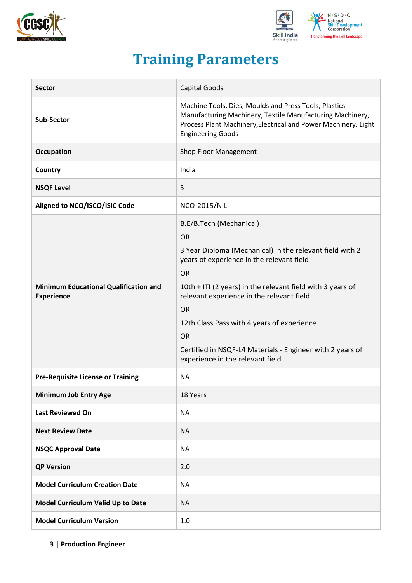



## **Training Parameters**

<span id="page-2-0"></span>

| <b>Sector</b>                                                     | <b>Capital Goods</b>                                                                                                                                                                                                                                                                                                                                                                                                                           |
|-------------------------------------------------------------------|------------------------------------------------------------------------------------------------------------------------------------------------------------------------------------------------------------------------------------------------------------------------------------------------------------------------------------------------------------------------------------------------------------------------------------------------|
| <b>Sub-Sector</b>                                                 | Machine Tools, Dies, Moulds and Press Tools, Plastics<br>Manufacturing Machinery, Textile Manufacturing Machinery,<br>Process Plant Machinery, Electrical and Power Machinery, Light<br><b>Engineering Goods</b>                                                                                                                                                                                                                               |
| Occupation                                                        | Shop Floor Management                                                                                                                                                                                                                                                                                                                                                                                                                          |
| Country                                                           | India                                                                                                                                                                                                                                                                                                                                                                                                                                          |
| <b>NSQF Level</b>                                                 | 5                                                                                                                                                                                                                                                                                                                                                                                                                                              |
| Aligned to NCO/ISCO/ISIC Code                                     | <b>NCO-2015/NIL</b>                                                                                                                                                                                                                                                                                                                                                                                                                            |
| <b>Minimum Educational Qualification and</b><br><b>Experience</b> | B.E/B.Tech (Mechanical)<br><b>OR</b><br>3 Year Diploma (Mechanical) in the relevant field with 2<br>years of experience in the relevant field<br><b>OR</b><br>10th + ITI (2 years) in the relevant field with 3 years of<br>relevant experience in the relevant field<br><b>OR</b><br>12th Class Pass with 4 years of experience<br><b>OR</b><br>Certified in NSQF-L4 Materials - Engineer with 2 years of<br>experience in the relevant field |
| <b>Pre-Requisite License or Training</b>                          | <b>NA</b>                                                                                                                                                                                                                                                                                                                                                                                                                                      |
| <b>Minimum Job Entry Age</b>                                      | 18 Years                                                                                                                                                                                                                                                                                                                                                                                                                                       |
| <b>Last Reviewed On</b>                                           | <b>NA</b>                                                                                                                                                                                                                                                                                                                                                                                                                                      |
| <b>Next Review Date</b>                                           | <b>NA</b>                                                                                                                                                                                                                                                                                                                                                                                                                                      |
| <b>NSQC Approval Date</b>                                         | <b>NA</b>                                                                                                                                                                                                                                                                                                                                                                                                                                      |
| <b>QP Version</b>                                                 | 2.0                                                                                                                                                                                                                                                                                                                                                                                                                                            |
| <b>Model Curriculum Creation Date</b>                             | <b>NA</b>                                                                                                                                                                                                                                                                                                                                                                                                                                      |
| Model Curriculum Valid Up to Date                                 | <b>NA</b>                                                                                                                                                                                                                                                                                                                                                                                                                                      |
| <b>Model Curriculum Version</b>                                   | 1.0                                                                                                                                                                                                                                                                                                                                                                                                                                            |

**3 | Production Engineer**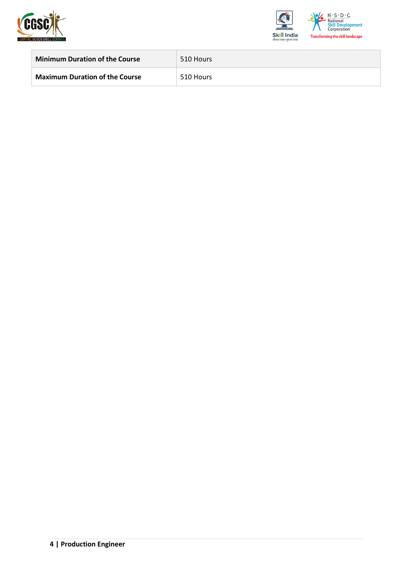



| <b>Minimum Duration of the Course</b> | 510 Hours |
|---------------------------------------|-----------|
| <b>Maximum Duration of the Course</b> | 510 Hours |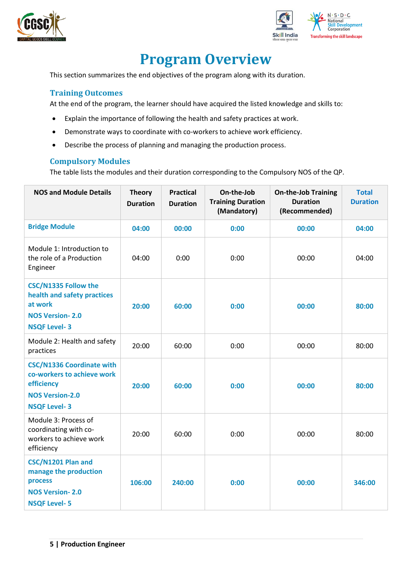



## **Program Overview**

<span id="page-4-0"></span>This section summarizes the end objectives of the program along with its duration.

#### <span id="page-4-1"></span>**Training Outcomes**

At the end of the program, the learner should have acquired the listed knowledge and skills to:

- Explain the importance of following the health and safety practices at work.
- Demonstrate ways to coordinate with co-workers to achieve work efficiency.
- Describe the process of planning and managing the production process.

#### <span id="page-4-2"></span>**Compulsory Modules**

The table lists the modules and their duration corresponding to the Compulsory NOS of the QP.

| <b>NOS and Module Details</b>                                                                                                 | <b>Theory</b><br><b>Duration</b> | <b>Practical</b><br><b>Duration</b> | On-the-Job<br><b>Training Duration</b><br>(Mandatory) | <b>On-the-Job Training</b><br><b>Duration</b><br>(Recommended) | <b>Total</b><br><b>Duration</b> |
|-------------------------------------------------------------------------------------------------------------------------------|----------------------------------|-------------------------------------|-------------------------------------------------------|----------------------------------------------------------------|---------------------------------|
| <b>Bridge Module</b>                                                                                                          | 04:00                            | 00:00                               | 0:00                                                  | 00:00                                                          | 04:00                           |
| Module 1: Introduction to<br>the role of a Production<br>Engineer                                                             | 04:00                            | 0:00                                | 0:00                                                  | 00:00                                                          | 04:00                           |
| <b>CSC/N1335 Follow the</b><br>health and safety practices<br>at work<br><b>NOS Version-2.0</b><br><b>NSQF Level-3</b>        | 20:00                            | 60:00                               | 0:00                                                  | 00:00                                                          | 80:00                           |
| Module 2: Health and safety<br>practices                                                                                      | 20:00                            | 60:00                               | 0:00                                                  | 00:00                                                          | 80:00                           |
| <b>CSC/N1336 Coordinate with</b><br>co-workers to achieve work<br>efficiency<br><b>NOS Version-2.0</b><br><b>NSQF Level-3</b> | 20:00                            | 60:00                               | 0:00                                                  | 00:00                                                          | 80:00                           |
| Module 3: Process of<br>coordinating with co-<br>workers to achieve work<br>efficiency                                        | 20:00                            | 60:00                               | 0:00                                                  | 00:00                                                          | 80:00                           |
| CSC/N1201 Plan and<br>manage the production<br>process<br><b>NOS Version-2.0</b><br><b>NSQF Level-5</b>                       | 106:00                           | 240:00                              | 0:00                                                  | 00:00                                                          | 346:00                          |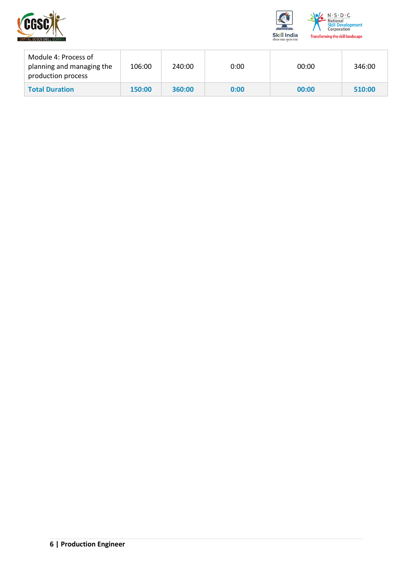



| Module 4: Process of<br>planning and managing the<br>production process | 106:00 | 240:00 | 0:00 | 00:00 | 346:00 |
|-------------------------------------------------------------------------|--------|--------|------|-------|--------|
| <b>Total Duration</b>                                                   | 150:00 | 360:00 | 0:00 | 00:00 | 510:00 |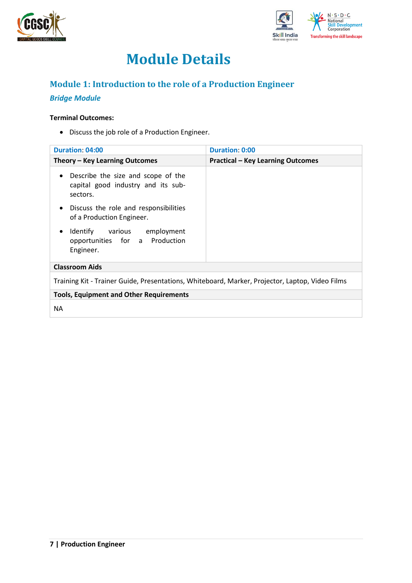



## **Module Details**

## <span id="page-6-0"></span>**Module 1: Introduction to the role of a Production Engineer**

### *Bridge Module*

#### **Terminal Outcomes:**

• Discuss the job role of a Production Engineer.

| <b>Duration: 04:00</b>                                                                            | <b>Duration: 0:00</b>                    |
|---------------------------------------------------------------------------------------------------|------------------------------------------|
| Theory – Key Learning Outcomes                                                                    | <b>Practical - Key Learning Outcomes</b> |
| Describe the size and scope of the<br>$\bullet$<br>capital good industry and its sub-<br>sectors. |                                          |
| Discuss the role and responsibilities<br>$\bullet$<br>of a Production Engineer.                   |                                          |
| Identify various employment<br>$\bullet$<br>opportunities for a Production<br>Engineer.           |                                          |
| <b>Classroom Aids</b>                                                                             |                                          |
| Training Kit - Trainer Guide, Presentations, Whiteboard, Marker, Projector, Laptop, Video Films   |                                          |
| <b>Tools, Equipment and Other Requirements</b>                                                    |                                          |
| NА                                                                                                |                                          |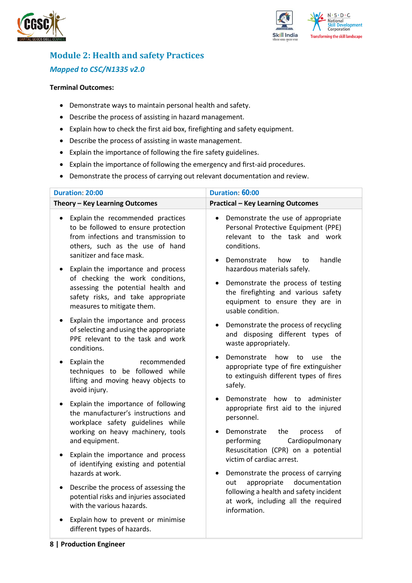



## <span id="page-7-0"></span>**Module 2: Health and safety Practices** *Mapped to CSC/N1335 v2.0*

#### **Terminal Outcomes:**

- Demonstrate ways to maintain personal health and safety.
- Describe the process of assisting in hazard management.
- Explain how to check the first aid box, firefighting and safety equipment.
- Describe the process of assisting in waste management.
- Explain the importance of following the fire safety guidelines.
- Explain the importance of following the emergency and first-aid procedures.
- Demonstrate the process of carrying out relevant documentation and review.

| <b>Duration: 20:00</b>                                                                                                                                                                        | Duration: 60:00                                                                                                                                                              |  |  |  |
|-----------------------------------------------------------------------------------------------------------------------------------------------------------------------------------------------|------------------------------------------------------------------------------------------------------------------------------------------------------------------------------|--|--|--|
| Theory - Key Learning Outcomes                                                                                                                                                                | <b>Practical - Key Learning Outcomes</b>                                                                                                                                     |  |  |  |
| Explain the recommended practices<br>$\bullet$<br>to be followed to ensure protection<br>from infections and transmission to<br>others, such as the use of hand<br>sanitizer and face mask.   | Demonstrate the use of appropriate<br>$\bullet$<br>Personal Protective Equipment (PPE)<br>relevant to the task and work<br>conditions.<br>handle<br>Demonstrate<br>how<br>to |  |  |  |
| Explain the importance and process<br>$\bullet$<br>of checking the work conditions,<br>assessing the potential health and<br>safety risks, and take appropriate<br>measures to mitigate them. | hazardous materials safely.<br>Demonstrate the process of testing<br>the firefighting and various safety<br>equipment to ensure they are in<br>usable condition.             |  |  |  |
| Explain the importance and process<br>$\bullet$<br>of selecting and using the appropriate<br>PPE relevant to the task and work<br>conditions.                                                 | Demonstrate the process of recycling<br>and disposing different types of<br>waste appropriately.                                                                             |  |  |  |
| Explain the<br>recommended<br>$\bullet$<br>techniques to be followed while<br>lifting and moving heavy objects to<br>avoid injury.                                                            | Demonstrate<br>how<br>the<br>to<br>use<br>appropriate type of fire extinguisher<br>to extinguish different types of fires<br>safely.                                         |  |  |  |
| Explain the importance of following<br>$\bullet$<br>the manufacturer's instructions and<br>workplace safety guidelines while<br>working on heavy machinery, tools                             | Demonstrate how to administer<br>appropriate first aid to the injured<br>personnel.<br>Demonstrate<br>the<br>οf<br>process                                                   |  |  |  |
| and equipment.<br>Explain the importance and process<br>$\bullet$<br>of identifying existing and potential<br>hazards at work.                                                                | Cardiopulmonary<br>performing<br>Resuscitation (CPR) on a potential<br>victim of cardiac arrest.<br>Demonstrate the process of carrying<br>$\bullet$                         |  |  |  |
| Describe the process of assessing the<br>$\bullet$<br>potential risks and injuries associated<br>with the various hazards.                                                                    | appropriate<br>documentation<br>out<br>following a health and safety incident<br>at work, including all the required<br>information.                                         |  |  |  |
| Explain how to prevent or minimise<br>different types of hazards.                                                                                                                             |                                                                                                                                                                              |  |  |  |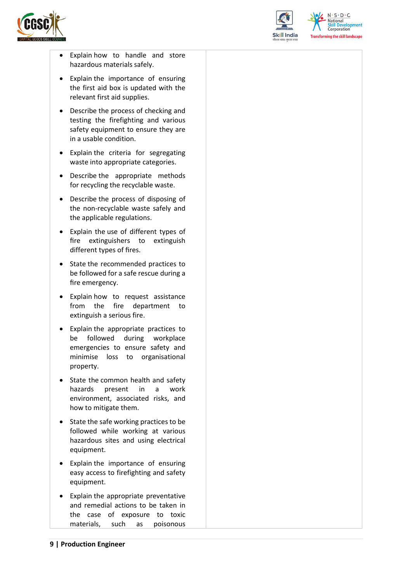



 $N.5.0.6$ National **Skill Development**<br>Corporation **Transforming the skill landscape** 

- Explain how to handle and store hazardous materials safely.
- Explain the importance of ensuring the first aid box is updated with the relevant first aid supplies.
- Describe the process of checking and testing the firefighting and various safety equipment to ensure they are in a usable condition.
- Explain the criteria for segregating waste into appropriate categories.
- Describe the appropriate methods for recycling the recyclable waste.
- Describe the process of disposing of the non-recyclable waste safely and the applicable regulations.
- Explain the use of different types of fire extinguishers to extinguish different types of fires.
- State the recommended practices to be followed for a safe rescue during a fire emergency.
- Explain how to request assistance from the fire department to extinguish a serious fire.
- Explain the appropriate practices to be followed during workplace emergencies to ensure safety and minimise loss to organisational property.
- State the common health and safety hazards present in a work environment, associated risks, and how to mitigate them.
- State the safe working practices to be followed while working at various hazardous sites and using electrical equipment.
- Explain the importance of ensuring easy access to firefighting and safety equipment.
- Explain the appropriate preventative and remedial actions to be taken in the case of exposure to toxic materials, such as poisonous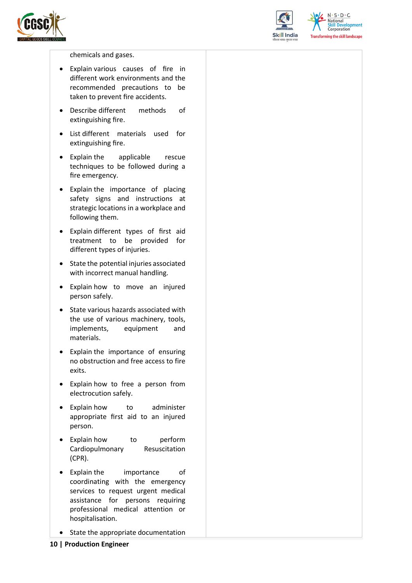



 $N \cdot S \cdot D \cdot C$ National **Skill Development**<br>Corporation **Transforming the skill landscape** 

chemicals and gases.

- Explain various causes of fire in different work environments and the recommended precautions to be taken to prevent fire accidents.
- Describe different methods of extinguishing fire.
- List different materials used for extinguishing fire.
- Explain the applicable rescue techniques to be followed during a fire emergency.
- Explain the importance of placing safety signs and instructions at strategic locations in a workplace and following them.
- Explain different types of first aid treatment to be provided for different types of injuries.
- State the potential injuries associated with incorrect manual handling.
- Explain how to move an injured person safely.
- State various hazards associated with the use of various machinery, tools, implements, equipment and materials.
- Explain the importance of ensuring no obstruction and free access to fire exits.
- Explain how to free a person from electrocution safely.
- Explain how to administer appropriate first aid to an injured person.
- Explain how to perform Cardiopulmonary Resuscitation (CPR).
- Explain the importance of coordinating with the emergency services to request urgent medical assistance for persons requiring professional medical attention or hospitalisation.
- State the appropriate documentation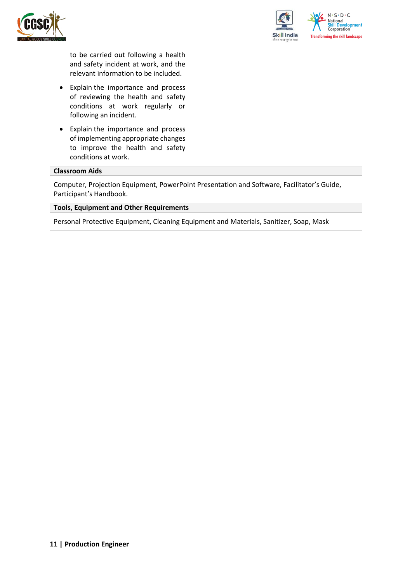



to be carried out following a health and safety incident at work, and the relevant information to be included.

- Explain the importance and process of reviewing the health and safety conditions at work regularly or following an incident.
- Explain the importance and process of implementing appropriate changes to improve the health and safety conditions at work.

#### **Classroom Aids**

Computer, Projection Equipment, PowerPoint Presentation and Software, Facilitator's Guide, Participant's Handbook.

#### **Tools, Equipment and Other Requirements**

Personal Protective Equipment, Cleaning Equipment and Materials, Sanitizer, Soap, Mask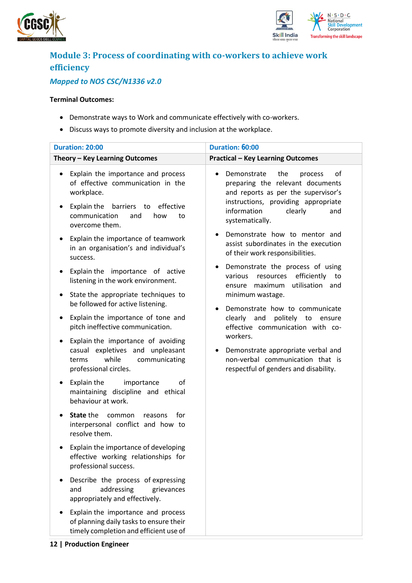



## <span id="page-11-0"></span>**Module 3: Process of coordinating with co-workers to achieve work efficiency**

### *Mapped to NOS CSC/N1336 v2.0*

#### **Terminal Outcomes:**

- Demonstrate ways to Work and communicate effectively with co-workers.
- Discuss ways to promote diversity and inclusion at the workplace.

| <b>Duration: 20:00</b>                                                                                                                                                                       | Duration: 60:00                                                                                                                                                                                           |  |  |  |
|----------------------------------------------------------------------------------------------------------------------------------------------------------------------------------------------|-----------------------------------------------------------------------------------------------------------------------------------------------------------------------------------------------------------|--|--|--|
| Theory - Key Learning Outcomes                                                                                                                                                               | <b>Practical - Key Learning Outcomes</b>                                                                                                                                                                  |  |  |  |
| Explain the importance and process<br>of effective communication in the<br>workplace.<br>Explain the<br>barriers to<br>effective<br>٠<br>communication<br>how<br>and<br>to<br>overcome them. | Demonstrate<br>the<br>of<br>process<br>preparing the relevant documents<br>and reports as per the supervisor's<br>instructions, providing appropriate<br>information<br>clearly<br>and<br>systematically. |  |  |  |
| Explain the importance of teamwork<br>$\bullet$<br>in an organisation's and individual's<br>success.                                                                                         | Demonstrate how to mentor and<br>assist subordinates in the execution<br>of their work responsibilities.                                                                                                  |  |  |  |
| Explain the importance of active<br>$\bullet$<br>listening in the work environment.                                                                                                          | Demonstrate the process of using<br>efficiently<br>various<br>resources<br>to<br>utilisation and<br>ensure maximum                                                                                        |  |  |  |
| State the appropriate techniques to<br>٠<br>be followed for active listening.                                                                                                                | minimum wastage.<br>Demonstrate how to communicate                                                                                                                                                        |  |  |  |
| Explain the importance of tone and<br>٠<br>pitch ineffective communication.                                                                                                                  | clearly and<br>politely to ensure<br>effective communication with co-                                                                                                                                     |  |  |  |
| Explain the importance of avoiding<br>٠<br>casual expletives and unpleasant<br>while<br>communicating<br>terms<br>professional circles.                                                      | workers.<br>Demonstrate appropriate verbal and<br>non-verbal communication that is<br>respectful of genders and disability.                                                                               |  |  |  |
| Explain the<br>importance<br>οf<br>٠<br>maintaining discipline and ethical<br>behaviour at work.                                                                                             |                                                                                                                                                                                                           |  |  |  |
| <b>State the</b><br>common<br>for<br>reasons<br>interpersonal conflict and how to<br>resolve them.                                                                                           |                                                                                                                                                                                                           |  |  |  |
| Explain the importance of developing<br>effective working relationships for<br>professional success.                                                                                         |                                                                                                                                                                                                           |  |  |  |
| Describe the process of expressing<br>addressing<br>and<br>grievances<br>appropriately and effectively.                                                                                      |                                                                                                                                                                                                           |  |  |  |
| Explain the importance and process<br>of planning daily tasks to ensure their<br>timely completion and efficient use of                                                                      |                                                                                                                                                                                                           |  |  |  |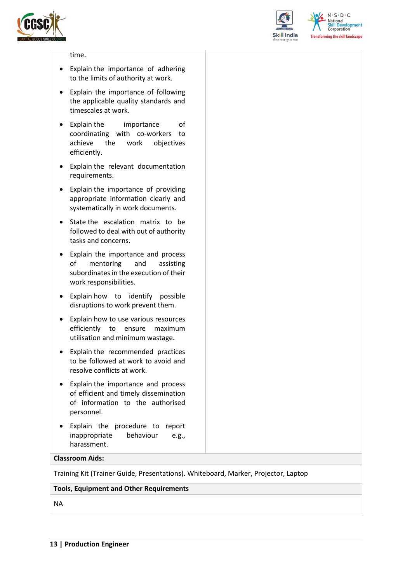



 $N.5.0.6$ **National Skill Development**<br>Corporation **Transforming the skill landscape** 

#### time.

- Explain the importance of adhering to the limits of authority at work.
- Explain the importance of following the applicable quality standards and timescales at work.
- Explain the importance of coordinating with co-workers to achieve the work objectives efficiently.
- Explain the relevant documentation requirements.
- Explain the importance of providing appropriate information clearly and systematically in work documents.
- State the escalation matrix to be followed to deal with out of authority tasks and concerns.
- Explain the importance and process of mentoring and assisting subordinates in the execution of their work responsibilities.
- Explain how to identify possible disruptions to work prevent them.
- Explain how to use various resources efficiently to ensure maximum utilisation and minimum wastage.
- Explain the recommended practices to be followed at work to avoid and resolve conflicts at work.
- Explain the importance and process of efficient and timely dissemination of information to the authorised personnel.
- Explain the procedure to report inappropriate behaviour e.g., harassment.

#### **Classroom Aids:**

Training Kit (Trainer Guide, Presentations). Whiteboard, Marker, Projector, Laptop

#### **Tools, Equipment and Other Requirements**

NA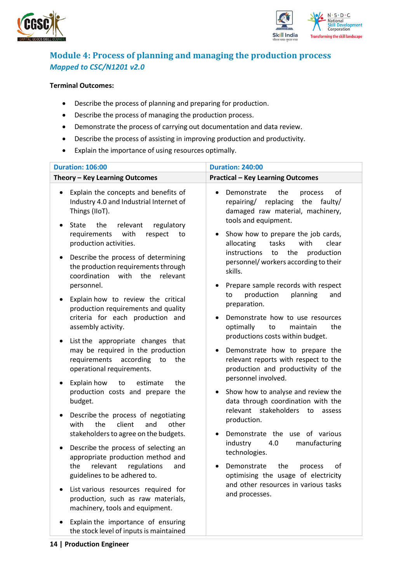



### <span id="page-13-0"></span>**Module 4: Process of planning and managing the production process** *Mapped to CSC/N1201 v2.0*

#### **Terminal Outcomes:**

- Describe the process of planning and preparing for production.
- Describe the process of managing the production process.
- Demonstrate the process of carrying out documentation and data review.
- Describe the process of assisting in improving production and productivity.
- Explain the importance of using resources optimally.

| <b>Duration: 106:00</b>                                                                                                                                                                                                                                                                                                                                                                                                                                                                                   | <b>Duration: 240:00</b>                                                                                                                                                                                                                                                                                                                                                                                          |  |  |
|-----------------------------------------------------------------------------------------------------------------------------------------------------------------------------------------------------------------------------------------------------------------------------------------------------------------------------------------------------------------------------------------------------------------------------------------------------------------------------------------------------------|------------------------------------------------------------------------------------------------------------------------------------------------------------------------------------------------------------------------------------------------------------------------------------------------------------------------------------------------------------------------------------------------------------------|--|--|
| Theory - Key Learning Outcomes                                                                                                                                                                                                                                                                                                                                                                                                                                                                            | <b>Practical - Key Learning Outcomes</b>                                                                                                                                                                                                                                                                                                                                                                         |  |  |
| Explain the concepts and benefits of<br>$\bullet$<br>Industry 4.0 and Industrial Internet of<br>Things (IIoT).<br>the<br>State<br>relevant<br>regulatory<br>٠<br>requirements<br>with<br>respect<br>to<br>production activities.<br>Describe the process of determining<br>٠<br>the production requirements through<br>with the<br>coordination<br>relevant                                                                                                                                               | Demonstrate<br>the<br>οf<br>$\bullet$<br>process<br>repairing/ replacing<br>the faulty/<br>damaged raw material, machinery,<br>tools and equipment.<br>Show how to prepare the job cards,<br>$\bullet$<br>allocating<br>tasks<br>with<br>clear<br>instructions<br>the<br>to<br>production<br>personnel/ workers according to their<br>skills.                                                                    |  |  |
| personnel.<br>Explain how to review the critical<br>٠<br>production requirements and quality<br>criteria for each production and<br>assembly activity.<br>List the appropriate changes that<br>٠<br>may be required in the production<br>requirements according<br>to<br>the<br>operational requirements.                                                                                                                                                                                                 | Prepare sample records with respect<br>$\bullet$<br>production<br>planning<br>to<br>and<br>preparation.<br>Demonstrate how to use resources<br>optimally<br>to<br>maintain<br>the<br>productions costs within budget.<br>Demonstrate how to prepare the<br>$\bullet$<br>relevant reports with respect to the<br>production and productivity of the                                                               |  |  |
| Explain how<br>estimate<br>the<br>to<br>٠<br>production costs and prepare the<br>budget.<br>Describe the process of negotiating<br>٠<br>the<br>client<br>and<br>with<br>other<br>stakeholders to agree on the budgets.<br>Describe the process of selecting an<br>$\bullet$<br>appropriate production method and<br>relevant<br>the<br>regulations<br>and<br>guidelines to be adhered to.<br>List various resources required for<br>production, such as raw materials,<br>machinery, tools and equipment. | personnel involved.<br>Show how to analyse and review the<br>$\bullet$<br>data through coordination with the<br>relevant stakeholders<br>to<br>assess<br>production.<br>Demonstrate the use of various<br>$\bullet$<br>industry<br>4.0<br>manufacturing<br>technologies.<br>the<br>of<br>Demonstrate<br>process<br>optimising the usage of electricity<br>and other resources in various tasks<br>and processes. |  |  |
| Explain the importance of ensuring<br>the stock level of inputs is maintained                                                                                                                                                                                                                                                                                                                                                                                                                             |                                                                                                                                                                                                                                                                                                                                                                                                                  |  |  |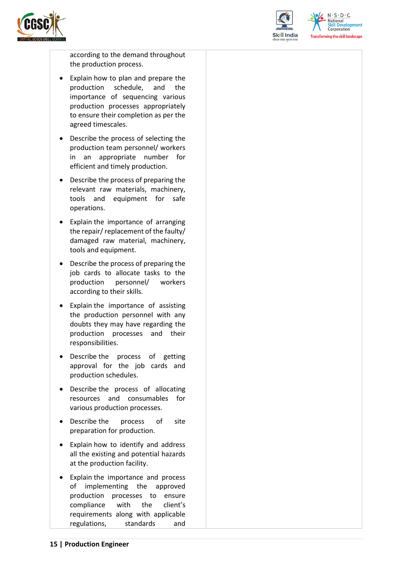



 $N.5.0.6$ elopment **Corporation Transforming the skill landscape** 

according to the demand throughout the production process.

- Explain how to plan and prepare the production schedule, and the importance of sequencing various production processes appropriately to ensure their completion as per the agreed timescales.
- Describe the process of selecting the production team personnel/ workers in an appropriate number for efficient and timely production.
- Describe the process of preparing the relevant raw materials, machinery, tools and equipment for safe operations.
- Explain the importance of arranging the repair/ replacement of the faulty/ damaged raw material, machinery, tools and equipment.
- Describe the process of preparing the job cards to allocate tasks to the production personnel/ workers according to their skills.
- Explain the importance of assisting the production personnel with any doubts they may have regarding the production processes and their responsibilities.
- Describe the process of getting approval for the job cards and production schedules.
- Describe the process of allocating resources and consumables for various production processes.
- Describe the process of site preparation for production.
- Explain how to identify and address all the existing and potential hazards at the production facility.
- Explain the importance and process of implementing the approved production processes to ensure compliance with the client's requirements along with applicable regulations, standards and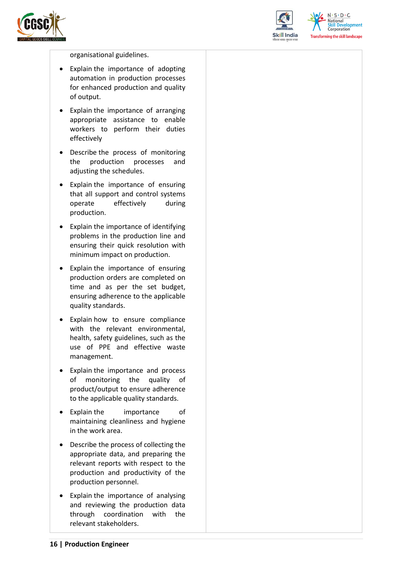



 $N.5.0.6$ elopment Corporation **sforming the skill landscape** 

#### organisational guidelines.

- Explain the importance of adopting automation in production processes for enhanced production and quality of output.
- Explain the importance of arranging appropriate assistance to enable workers to perform their duties effectively
- Describe the process of monitoring the production processes and adjusting the schedules.
- Explain the importance of ensuring that all support and control systems operate effectively during production.
- Explain the importance of identifying problems in the production line and ensuring their quick resolution with minimum impact on production.
- Explain the importance of ensuring production orders are completed on time and as per the set budget, ensuring adherence to the applicable quality standards.
- Explain how to ensure compliance with the relevant environmental, health, safety guidelines, such as the use of PPE and effective waste management.
- Explain the importance and process of monitoring the quality of product/output to ensure adherence to the applicable quality standards.
- Explain the importance of maintaining cleanliness and hygiene in the work area.
- Describe the process of collecting the appropriate data, and preparing the relevant reports with respect to the production and productivity of the production personnel.
- Explain the importance of analysing and reviewing the production data through coordination with the relevant stakeholders.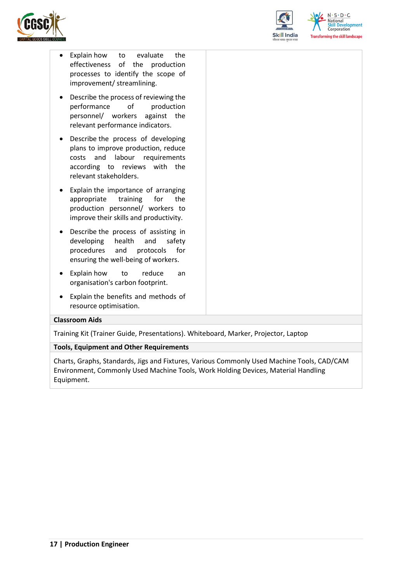



 $N.5.0.6$ **National Skill Development**<br>Corporation **Transforming the skill landscape** 

- Explain how to evaluate the effectiveness of the production processes to identify the scope of improvement/ streamlining.
- Describe the process of reviewing the performance of production personnel/ workers against the relevant performance indicators.
- Describe the process of developing plans to improve production, reduce costs and labour requirements according to reviews with the relevant stakeholders.
- Explain the importance of arranging appropriate training for the production personnel/ workers to improve their skills and productivity.
- Describe the process of assisting in developing health and safety procedures and protocols for ensuring the well-being of workers.
- Explain how to reduce an organisation's carbon footprint.
- Explain the benefits and methods of resource optimisation.

#### **Classroom Aids**

Training Kit (Trainer Guide, Presentations). Whiteboard, Marker, Projector, Laptop

#### **Tools, Equipment and Other Requirements**

Charts, Graphs, Standards, Jigs and Fixtures, Various Commonly Used Machine Tools, CAD/CAM Environment, Commonly Used Machine Tools, Work Holding Devices, Material Handling Equipment.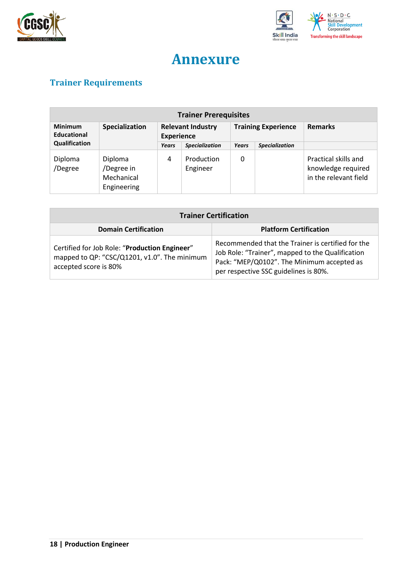



## **Annexure**

## <span id="page-17-1"></span><span id="page-17-0"></span>**Trainer Requirements**

| <b>Trainer Prerequisites</b>                           |                                                    |                                               |                        |                            |                       |                                                                     |  |
|--------------------------------------------------------|----------------------------------------------------|-----------------------------------------------|------------------------|----------------------------|-----------------------|---------------------------------------------------------------------|--|
| <b>Minimum</b><br>Specialization<br><b>Educational</b> |                                                    | <b>Relevant Industry</b><br><b>Experience</b> |                        | <b>Training Experience</b> |                       | <b>Remarks</b>                                                      |  |
| Qualification                                          |                                                    | Years                                         | <b>Specialization</b>  | Years                      | <b>Specialization</b> |                                                                     |  |
| Diploma<br>/Degree                                     | Diploma<br>/Degree in<br>Mechanical<br>Engineering | 4                                             | Production<br>Engineer | 0                          |                       | Practical skills and<br>knowledge required<br>in the relevant field |  |

| <b>Trainer Certification</b>                                                                                           |                                                                                                                                                                                              |  |  |  |  |
|------------------------------------------------------------------------------------------------------------------------|----------------------------------------------------------------------------------------------------------------------------------------------------------------------------------------------|--|--|--|--|
| <b>Domain Certification</b>                                                                                            | <b>Platform Certification</b>                                                                                                                                                                |  |  |  |  |
| Certified for Job Role: "Production Engineer"<br>mapped to QP: "CSC/Q1201, v1.0". The minimum<br>accepted score is 80% | Recommended that the Trainer is certified for the<br>Job Role: "Trainer", mapped to the Qualification<br>Pack: "MEP/Q0102". The Minimum accepted as<br>per respective SSC guidelines is 80%. |  |  |  |  |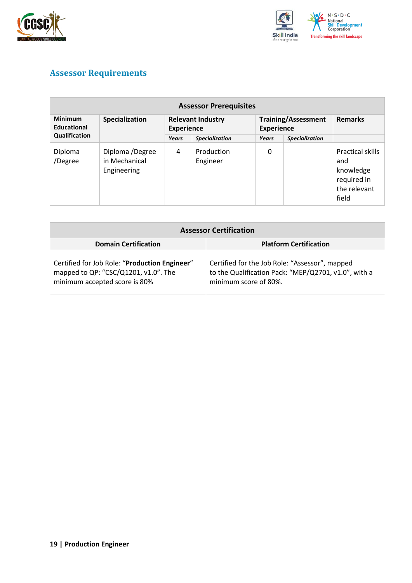



## <span id="page-18-0"></span>**Assessor Requirements**

| <b>Assessor Prerequisites</b> |                                                 |                                               |                        |                                                 |                       |                                                                              |  |
|-------------------------------|-------------------------------------------------|-----------------------------------------------|------------------------|-------------------------------------------------|-----------------------|------------------------------------------------------------------------------|--|
| <b>Minimum</b><br>Educational | Specialization                                  | <b>Relevant Industry</b><br><b>Experience</b> |                        | <b>Training/Assessment</b><br><b>Experience</b> |                       | <b>Remarks</b>                                                               |  |
| Qualification                 |                                                 | Years                                         | <b>Specialization</b>  | Years                                           | <b>Specialization</b> |                                                                              |  |
| Diploma<br>/Degree            | Diploma /Degree<br>in Mechanical<br>Engineering | 4                                             | Production<br>Engineer | 0                                               |                       | Practical skills<br>and<br>knowledge<br>required in<br>the relevant<br>field |  |

| <b>Assessor Certification</b>                                                                                          |                                                                                                                                 |  |
|------------------------------------------------------------------------------------------------------------------------|---------------------------------------------------------------------------------------------------------------------------------|--|
| <b>Domain Certification</b>                                                                                            | <b>Platform Certification</b>                                                                                                   |  |
| Certified for Job Role: "Production Engineer"<br>mapped to QP: "CSC/Q1201, v1.0". The<br>minimum accepted score is 80% | Certified for the Job Role: "Assessor", mapped<br>to the Qualification Pack: "MEP/Q2701, v1.0", with a<br>minimum score of 80%. |  |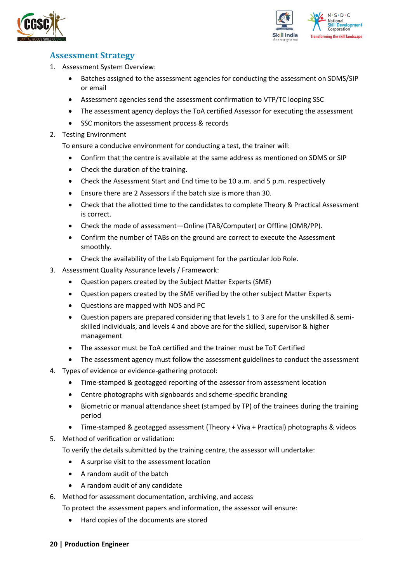



### <span id="page-19-0"></span>**Assessment Strategy**

- 1. Assessment System Overview:
	- Batches assigned to the assessment agencies for conducting the assessment on SDMS/SIP or email
	- Assessment agencies send the assessment confirmation to VTP/TC looping SSC
	- The assessment agency deploys the ToA certified Assessor for executing the assessment
	- SSC monitors the assessment process & records
- 2. Testing Environment

To ensure a conducive environment for conducting a test, the trainer will:

- Confirm that the centre is available at the same address as mentioned on SDMS or SIP
- Check the duration of the training.
- Check the Assessment Start and End time to be 10 a.m. and 5 p.m. respectively
- Ensure there are 2 Assessors if the batch size is more than 30.
- Check that the allotted time to the candidates to complete Theory & Practical Assessment is correct.
- Check the mode of assessment—Online (TAB/Computer) or Offline (OMR/PP).
- Confirm the number of TABs on the ground are correct to execute the Assessment smoothly.
- Check the availability of the Lab Equipment for the particular Job Role.
- 3. Assessment Quality Assurance levels / Framework:
	- Question papers created by the Subject Matter Experts (SME)
	- Question papers created by the SME verified by the other subject Matter Experts
	- Questions are mapped with NOS and PC
	- Question papers are prepared considering that levels 1 to 3 are for the unskilled & semiskilled individuals, and levels 4 and above are for the skilled, supervisor & higher management
	- The assessor must be ToA certified and the trainer must be ToT Certified
	- The assessment agency must follow the assessment guidelines to conduct the assessment
- 4. Types of evidence or evidence-gathering protocol:
	- Time-stamped & geotagged reporting of the assessor from assessment location
	- Centre photographs with signboards and scheme-specific branding
	- Biometric or manual attendance sheet (stamped by TP) of the trainees during the training period
	- Time-stamped & geotagged assessment (Theory + Viva + Practical) photographs & videos
- 5. Method of verification or validation:

To verify the details submitted by the training centre, the assessor will undertake:

- A surprise visit to the assessment location
- A random audit of the batch
- A random audit of any candidate
- 6. Method for assessment documentation, archiving, and access
	- To protect the assessment papers and information, the assessor will ensure:
		- Hard copies of the documents are stored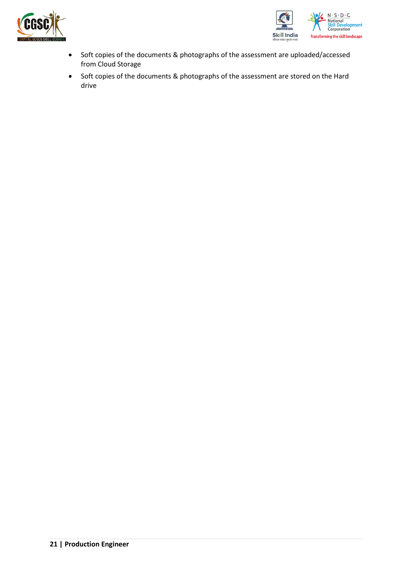



- Soft copies of the documents & photographs of the assessment are uploaded/accessed from Cloud Storage
- Soft copies of the documents & photographs of the assessment are stored on the Hard drive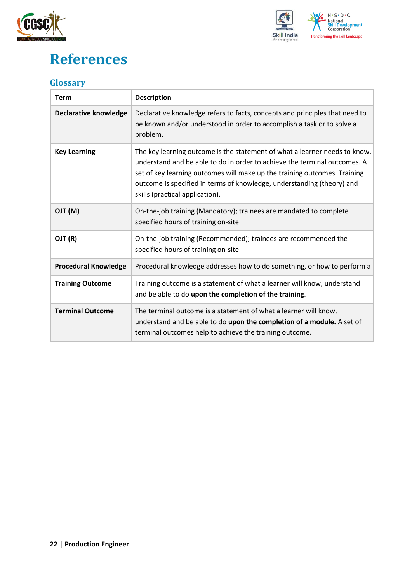



## <span id="page-21-0"></span>**References**

### <span id="page-21-1"></span>**Glossary**

| <b>Term</b>                  | <b>Description</b>                                                                                                                                                                                                                                                                                                                                |
|------------------------------|---------------------------------------------------------------------------------------------------------------------------------------------------------------------------------------------------------------------------------------------------------------------------------------------------------------------------------------------------|
| <b>Declarative knowledge</b> | Declarative knowledge refers to facts, concepts and principles that need to<br>be known and/or understood in order to accomplish a task or to solve a<br>problem.                                                                                                                                                                                 |
| <b>Key Learning</b>          | The key learning outcome is the statement of what a learner needs to know,<br>understand and be able to do in order to achieve the terminal outcomes. A<br>set of key learning outcomes will make up the training outcomes. Training<br>outcome is specified in terms of knowledge, understanding (theory) and<br>skills (practical application). |
| (M) TLO                      | On-the-job training (Mandatory); trainees are mandated to complete<br>specified hours of training on-site                                                                                                                                                                                                                                         |
| OJT (R)                      | On-the-job training (Recommended); trainees are recommended the<br>specified hours of training on-site                                                                                                                                                                                                                                            |
| <b>Procedural Knowledge</b>  | Procedural knowledge addresses how to do something, or how to perform a                                                                                                                                                                                                                                                                           |
| <b>Training Outcome</b>      | Training outcome is a statement of what a learner will know, understand<br>and be able to do upon the completion of the training.                                                                                                                                                                                                                 |
| <b>Terminal Outcome</b>      | The terminal outcome is a statement of what a learner will know,<br>understand and be able to do upon the completion of a module. A set of<br>terminal outcomes help to achieve the training outcome.                                                                                                                                             |